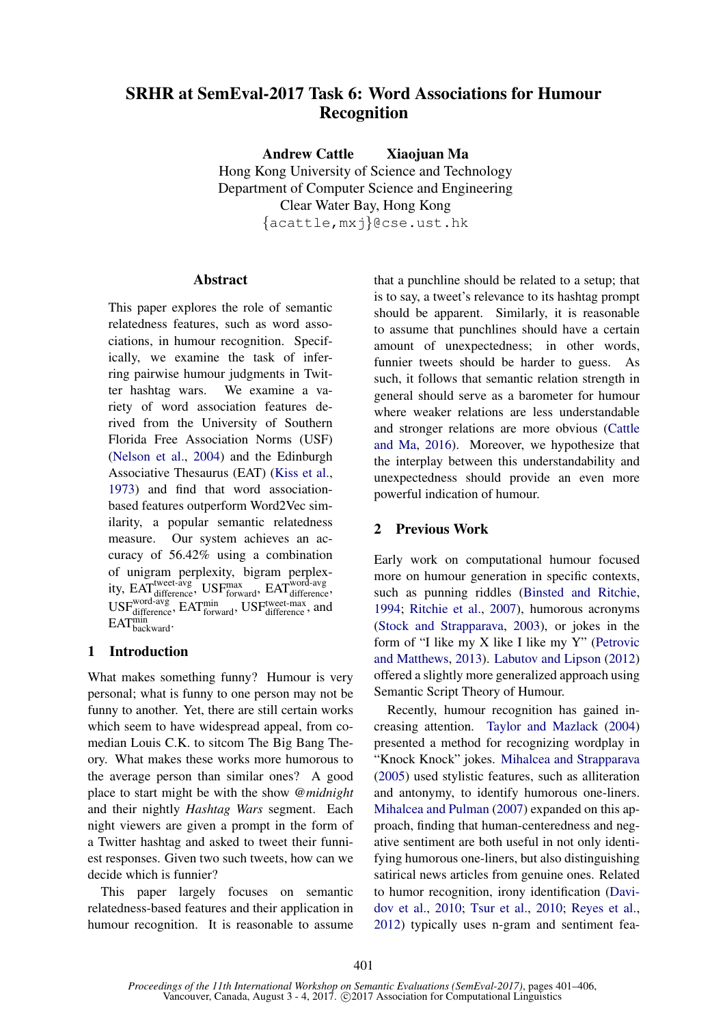# SRHR at SemEval-2017 Task 6: Word Associations for Humour Recognition

Andrew Cattle Xiaojuan Ma Hong Kong University of Science and Technology Department of Computer Science and Engineering Clear Water Bay, Hong Kong

{acattle,mxj}@cse.ust.hk

# Abstract

This paper explores the role of semantic relatedness features, such as word associations, in humour recognition. Specifically, we examine the task of inferring pairwise humour judgments in Twitter hashtag wars. We examine a variety of word association features derived from the University of Southern Florida Free Association Norms (USF) (Nelson et al., 2004) and the Edinburgh Associative Thesaurus (EAT) (Kiss et al., 1973) and find that word associationbased features outperform Word2Vec similarity, a popular semantic relatedness measure. Our system achieves an accuracy of 56.42% using a combination of unigram perplexity, bigram perplexity, EAT<sup>tweet-avg</sup>, USFmax, EATword-avg, EAT USF<sub>difference</sub>, EAT<sub>forward</sub>, USF<sub>difference</sub>, and EAT<sup>min</sup><br>backward·

# 1 Introduction

What makes something funny? Humour is very personal; what is funny to one person may not be funny to another. Yet, there are still certain works which seem to have widespread appeal, from comedian Louis C.K. to sitcom The Big Bang Theory. What makes these works more humorous to the average person than similar ones? A good place to start might be with the show *@midnight* and their nightly *Hashtag Wars* segment. Each night viewers are given a prompt in the form of a Twitter hashtag and asked to tweet their funniest responses. Given two such tweets, how can we decide which is funnier?

This paper largely focuses on semantic relatedness-based features and their application in humour recognition. It is reasonable to assume that a punchline should be related to a setup; that is to say, a tweet's relevance to its hashtag prompt should be apparent. Similarly, it is reasonable to assume that punchlines should have a certain amount of unexpectedness; in other words, funnier tweets should be harder to guess. As such, it follows that semantic relation strength in general should serve as a barometer for humour where weaker relations are less understandable and stronger relations are more obvious (Cattle and Ma, 2016). Moreover, we hypothesize that the interplay between this understandability and unexpectedness should provide an even more powerful indication of humour.

## 2 Previous Work

Early work on computational humour focused more on humour generation in specific contexts, such as punning riddles (Binsted and Ritchie, 1994; Ritchie et al., 2007), humorous acronyms (Stock and Strapparava, 2003), or jokes in the form of "I like my X like I like my Y" (Petrovic and Matthews, 2013). Labutov and Lipson (2012) offered a slightly more generalized approach using Semantic Script Theory of Humour.

Recently, humour recognition has gained increasing attention. Taylor and Mazlack (2004) presented a method for recognizing wordplay in "Knock Knock" jokes. Mihalcea and Strapparava (2005) used stylistic features, such as alliteration and antonymy, to identify humorous one-liners. Mihalcea and Pulman (2007) expanded on this approach, finding that human-centeredness and negative sentiment are both useful in not only identifying humorous one-liners, but also distinguishing satirical news articles from genuine ones. Related to humor recognition, irony identification (Davidov et al., 2010; Tsur et al., 2010; Reyes et al., 2012) typically uses n-gram and sentiment fea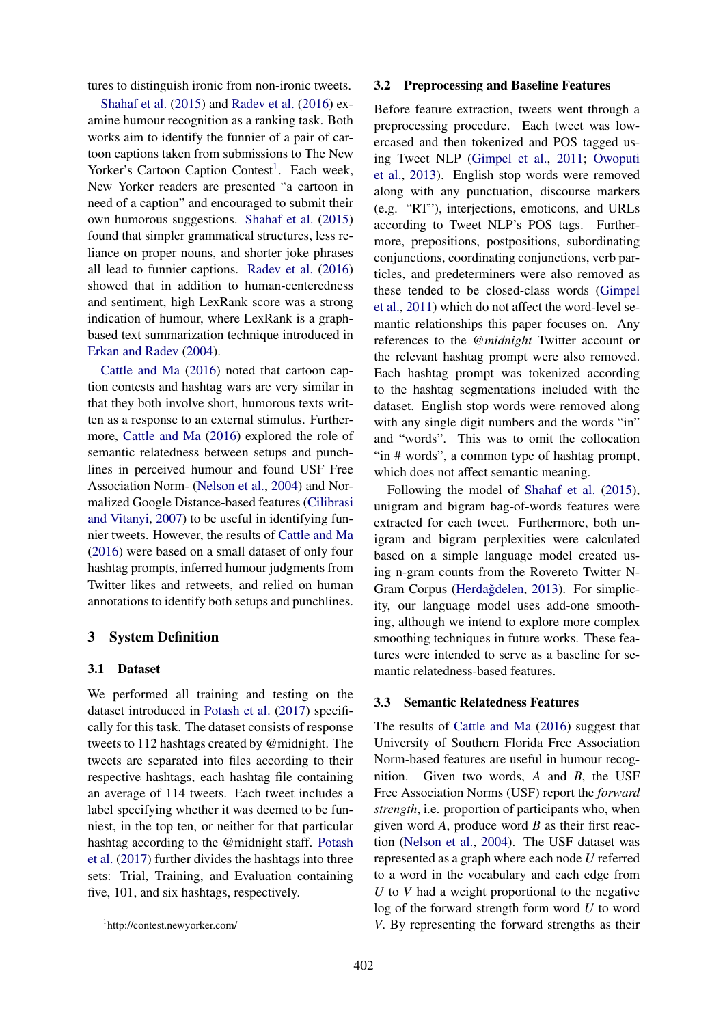tures to distinguish ironic from non-ironic tweets.

Shahaf et al. (2015) and Radev et al. (2016) examine humour recognition as a ranking task. Both works aim to identify the funnier of a pair of cartoon captions taken from submissions to The New Yorker's Cartoon Caption Contest<sup>1</sup>. Each week, New Yorker readers are presented "a cartoon in need of a caption" and encouraged to submit their own humorous suggestions. Shahaf et al. (2015) found that simpler grammatical structures, less reliance on proper nouns, and shorter joke phrases all lead to funnier captions. Radev et al. (2016) showed that in addition to human-centeredness and sentiment, high LexRank score was a strong indication of humour, where LexRank is a graphbased text summarization technique introduced in Erkan and Radev (2004).

Cattle and Ma (2016) noted that cartoon caption contests and hashtag wars are very similar in that they both involve short, humorous texts written as a response to an external stimulus. Furthermore, Cattle and Ma (2016) explored the role of semantic relatedness between setups and punchlines in perceived humour and found USF Free Association Norm- (Nelson et al., 2004) and Normalized Google Distance-based features (Cilibrasi and Vitanyi, 2007) to be useful in identifying funnier tweets. However, the results of Cattle and Ma (2016) were based on a small dataset of only four hashtag prompts, inferred humour judgments from Twitter likes and retweets, and relied on human annotations to identify both setups and punchlines.

### 3 System Definition

#### 3.1 Dataset

We performed all training and testing on the dataset introduced in Potash et al. (2017) specifically for this task. The dataset consists of response tweets to 112 hashtags created by @midnight. The tweets are separated into files according to their respective hashtags, each hashtag file containing an average of 114 tweets. Each tweet includes a label specifying whether it was deemed to be funniest, in the top ten, or neither for that particular hashtag according to the @midnight staff. Potash et al. (2017) further divides the hashtags into three sets: Trial, Training, and Evaluation containing five, 101, and six hashtags, respectively.

#### 3.2 Preprocessing and Baseline Features

Before feature extraction, tweets went through a preprocessing procedure. Each tweet was lowercased and then tokenized and POS tagged using Tweet NLP (Gimpel et al., 2011; Owoputi et al., 2013). English stop words were removed along with any punctuation, discourse markers (e.g. "RT"), interjections, emoticons, and URLs according to Tweet NLP's POS tags. Furthermore, prepositions, postpositions, subordinating conjunctions, coordinating conjunctions, verb particles, and predeterminers were also removed as these tended to be closed-class words (Gimpel et al., 2011) which do not affect the word-level semantic relationships this paper focuses on. Any references to the *@midnight* Twitter account or the relevant hashtag prompt were also removed. Each hashtag prompt was tokenized according to the hashtag segmentations included with the dataset. English stop words were removed along with any single digit numbers and the words "in" and "words". This was to omit the collocation "in # words", a common type of hashtag prompt, which does not affect semantic meaning.

Following the model of Shahaf et al. (2015), unigram and bigram bag-of-words features were extracted for each tweet. Furthermore, both unigram and bigram perplexities were calculated based on a simple language model created using n-gram counts from the Rovereto Twitter N-Gram Corpus (Herdağdelen, 2013). For simplicity, our language model uses add-one smoothing, although we intend to explore more complex smoothing techniques in future works. These features were intended to serve as a baseline for semantic relatedness-based features.

#### 3.3 Semantic Relatedness Features

The results of Cattle and Ma (2016) suggest that University of Southern Florida Free Association Norm-based features are useful in humour recognition. Given two words, *A* and *B*, the USF Free Association Norms (USF) report the *forward strength*, i.e. proportion of participants who, when given word *A*, produce word *B* as their first reaction (Nelson et al., 2004). The USF dataset was represented as a graph where each node *U* referred to a word in the vocabulary and each edge from *U* to *V* had a weight proportional to the negative log of the forward strength form word *U* to word *V*. By representing the forward strengths as their

<sup>1</sup> http://contest.newyorker.com/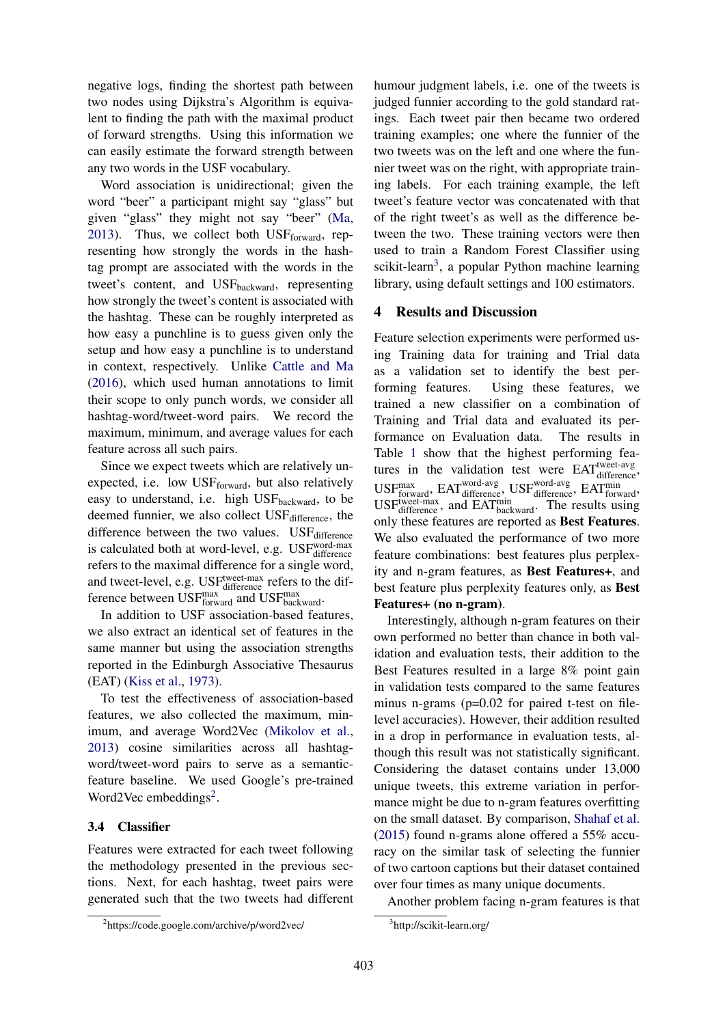negative logs, finding the shortest path between two nodes using Dijkstra's Algorithm is equivalent to finding the path with the maximal product of forward strengths. Using this information we can easily estimate the forward strength between any two words in the USF vocabulary.

Word association is unidirectional; given the word "beer" a participant might say "glass" but given "glass" they might not say "beer" (Ma, 2013). Thus, we collect both  $\text{USF}_{\text{forward}}$ , representing how strongly the words in the hashtag prompt are associated with the words in the tweet's content, and USF<sub>backward</sub>, representing how strongly the tweet's content is associated with the hashtag. These can be roughly interpreted as how easy a punchline is to guess given only the setup and how easy a punchline is to understand in context, respectively. Unlike Cattle and Ma (2016), which used human annotations to limit their scope to only punch words, we consider all hashtag-word/tweet-word pairs. We record the maximum, minimum, and average values for each feature across all such pairs.

Since we expect tweets which are relatively unexpected, i.e. low  $\text{USF}_{\text{forward}}$ , but also relatively easy to understand, i.e. high  $\text{USF}_{\text{backward}}$ , to be deemed funnier, we also collect USF<sub>difference</sub>, the difference between the two values.  $\text{USF}_{\text{difference}}$ is calculated both at word-level, e.g. USFword-max refers to the maximal difference for a single word, and tweet-level, e.g. USF<sup>tweet-max</sup> refers to the difference between  $\text{USF}_{\text{forward}}^{\text{max}}$  and  $\text{USF}_{\text{backward}}^{\text{max}}$ .

In addition to USF association-based features, we also extract an identical set of features in the same manner but using the association strengths reported in the Edinburgh Associative Thesaurus (EAT) (Kiss et al., 1973).

To test the effectiveness of association-based features, we also collected the maximum, minimum, and average Word2Vec (Mikolov et al., 2013) cosine similarities across all hashtagword/tweet-word pairs to serve as a semanticfeature baseline. We used Google's pre-trained Word2Vec embeddings<sup>2</sup>.

### 3.4 Classifier

Features were extracted for each tweet following the methodology presented in the previous sections. Next, for each hashtag, tweet pairs were generated such that the two tweets had different

humour judgment labels, i.e. one of the tweets is judged funnier according to the gold standard ratings. Each tweet pair then became two ordered training examples; one where the funnier of the two tweets was on the left and one where the funnier tweet was on the right, with appropriate training labels. For each training example, the left tweet's feature vector was concatenated with that of the right tweet's as well as the difference between the two. These training vectors were then used to train a Random Forest Classifier using scikit-learn<sup>3</sup>, a popular Python machine learning library, using default settings and 100 estimators.

## 4 Results and Discussion

Feature selection experiments were performed using Training data for training and Trial data as a validation set to identify the best performing features. Using these features, we trained a new classifier on a combination of Training and Trial data and evaluated its performance on Evaluation data. The results in Table 1 show that the highest performing features in the validation test were EAT<sup>tweet-avg</sup> difference, USF<sub>forward</sub>, EAT<sub>difference</sub>, USF<sub>difference</sub>, EAT<sub>forward</sub>, USF<sub>difference</sub>, and EAT<sup>min</sup> The results using only these features are reported as Best Features. We also evaluated the performance of two more feature combinations: best features plus perplexity and n-gram features, as Best Features+, and best feature plus perplexity features only, as Best Features+ (no n-gram).

Interestingly, although n-gram features on their own performed no better than chance in both validation and evaluation tests, their addition to the Best Features resulted in a large 8% point gain in validation tests compared to the same features minus n-grams (p=0.02 for paired t-test on filelevel accuracies). However, their addition resulted in a drop in performance in evaluation tests, although this result was not statistically significant. Considering the dataset contains under 13,000 unique tweets, this extreme variation in performance might be due to n-gram features overfitting on the small dataset. By comparison, Shahaf et al. (2015) found n-grams alone offered a 55% accuracy on the similar task of selecting the funnier of two cartoon captions but their dataset contained over four times as many unique documents.

Another problem facing n-gram features is that

<sup>&</sup>lt;sup>2</sup>https://code.google.com/archive/p/word2vec/

<sup>3</sup> http://scikit-learn.org/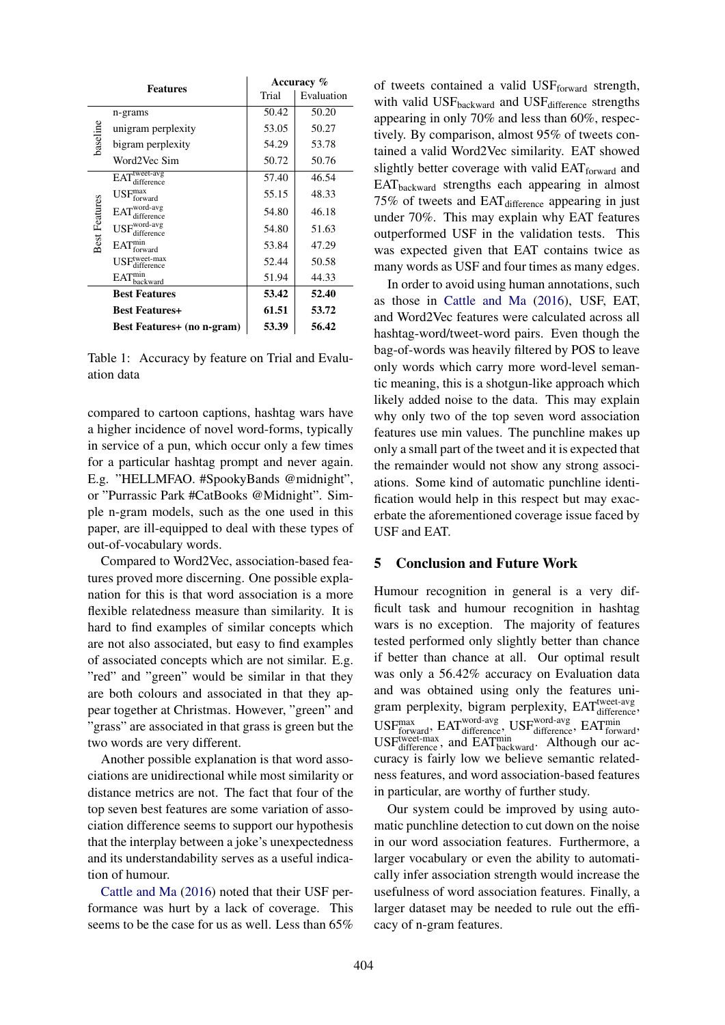| <b>Features</b>      |                                                         | Accuracy % |            |
|----------------------|---------------------------------------------------------|------------|------------|
|                      |                                                         | Trial      | Evaluation |
| baseline             | n-grams                                                 | 50.42      | 50.20      |
|                      | unigram perplexity                                      | 53.05      | 50.27      |
|                      | bigram perplexity                                       | 54.29      | 53.78      |
|                      | Word2Vec Sim                                            | 50.72      | 50.76      |
| <b>Best Features</b> | EATWeet-avg<br>lifference                               | 57.40      | 46.54      |
|                      | $\mathrm{USF}_{\mathrm{forward}}^{\mathrm{max}}$        | 55.15      | 48.33      |
|                      | $EAT^{\text{word-avg}}$<br>difference                   | 54.80      | 46.18      |
|                      | $\mathbf{USF}^\text{word-avg}_\text{max}$<br>difference | 54.80      | 51.63      |
|                      | $EAT^{min}_{forward}$                                   | 53.84      | 47.29      |
|                      | $USFxtwect-max$<br>difference                           | 52.44      | 50.58      |
|                      | EAT <sub>backward</sub>                                 | 51.94      | 44.33      |
|                      | <b>Best Features</b>                                    | 53.42      | 52.40      |
|                      | <b>Best Features+</b>                                   | 61.51      | 53.72      |
|                      | <b>Best Features+</b> (no n-gram)                       | 53.39      | 56.42      |

Table 1: Accuracy by feature on Trial and Evaluation data

compared to cartoon captions, hashtag wars have a higher incidence of novel word-forms, typically in service of a pun, which occur only a few times for a particular hashtag prompt and never again. E.g. "HELLMFAO. #SpookyBands @midnight", or "Purrassic Park #CatBooks @Midnight". Simple n-gram models, such as the one used in this paper, are ill-equipped to deal with these types of out-of-vocabulary words.

Compared to Word2Vec, association-based features proved more discerning. One possible explanation for this is that word association is a more flexible relatedness measure than similarity. It is hard to find examples of similar concepts which are not also associated, but easy to find examples of associated concepts which are not similar. E.g. "red" and "green" would be similar in that they are both colours and associated in that they appear together at Christmas. However, "green" and "grass" are associated in that grass is green but the two words are very different.

Another possible explanation is that word associations are unidirectional while most similarity or distance metrics are not. The fact that four of the top seven best features are some variation of association difference seems to support our hypothesis that the interplay between a joke's unexpectedness and its understandability serves as a useful indication of humour.

Cattle and Ma (2016) noted that their USF performance was hurt by a lack of coverage. This seems to be the case for us as well. Less than 65% of tweets contained a valid USFforward strength, with valid USFbackward and USFdifference strengths appearing in only 70% and less than 60%, respectively. By comparison, almost 95% of tweets contained a valid Word2Vec similarity. EAT showed slightly better coverage with valid  $EAT_{forward}$  and EATbackward strengths each appearing in almost 75% of tweets and EAT difference appearing in just under 70%. This may explain why EAT features outperformed USF in the validation tests. This was expected given that EAT contains twice as many words as USF and four times as many edges.

In order to avoid using human annotations, such as those in Cattle and Ma (2016), USF, EAT, and Word2Vec features were calculated across all hashtag-word/tweet-word pairs. Even though the bag-of-words was heavily filtered by POS to leave only words which carry more word-level semantic meaning, this is a shotgun-like approach which likely added noise to the data. This may explain why only two of the top seven word association features use min values. The punchline makes up only a small part of the tweet and it is expected that the remainder would not show any strong associations. Some kind of automatic punchline identification would help in this respect but may exacerbate the aforementioned coverage issue faced by USF and EAT.

# 5 Conclusion and Future Work

Humour recognition in general is a very difficult task and humour recognition in hashtag wars is no exception. The majority of features tested performed only slightly better than chance if better than chance at all. Our optimal result was only a 56.42% accuracy on Evaluation data and was obtained using only the features unigram perplexity, bigram perplexity, EAT<sup>tweet-avg</sup> USF<sub>forward</sub>, EAT<sub>difference</sub>, USF<sub>difference</sub>, EAT<sub>forward</sub>, USF<sub>difference</sub>, and EAT<sup>min</sup><sub>backward</sub>. Although our accuracy is fairly low we believe semantic relatedness features, and word association-based features in particular, are worthy of further study.

Our system could be improved by using automatic punchline detection to cut down on the noise in our word association features. Furthermore, a larger vocabulary or even the ability to automatically infer association strength would increase the usefulness of word association features. Finally, a larger dataset may be needed to rule out the efficacy of n-gram features.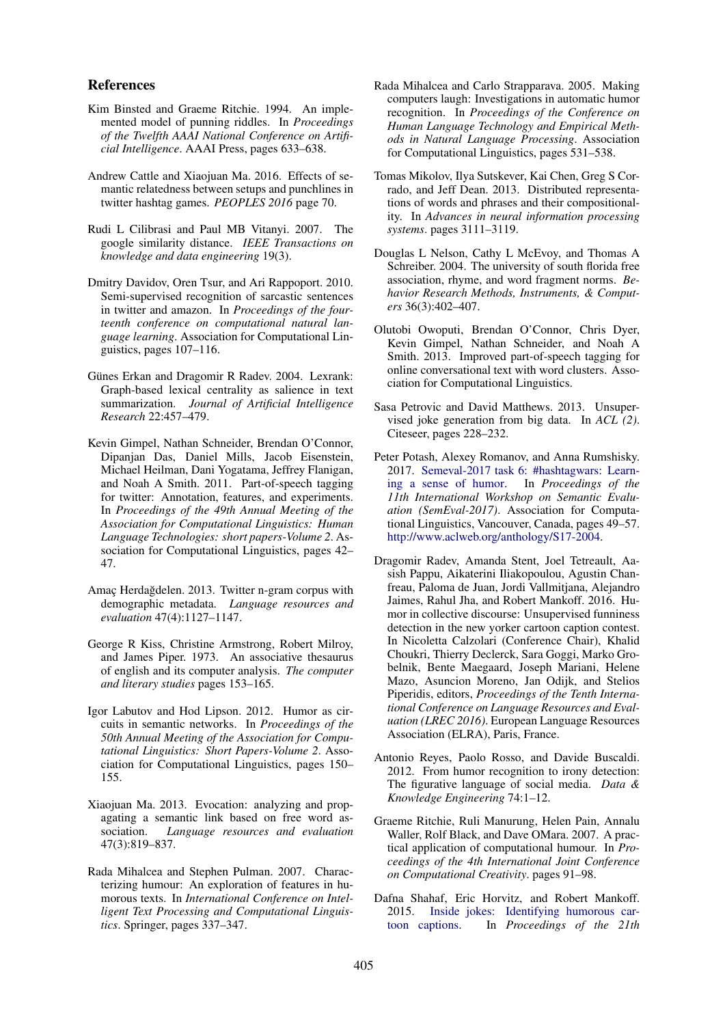#### References

- Kim Binsted and Graeme Ritchie. 1994. An implemented model of punning riddles. In *Proceedings of the Twelfth AAAI National Conference on Artificial Intelligence*. AAAI Press, pages 633–638.
- Andrew Cattle and Xiaojuan Ma. 2016. Effects of semantic relatedness between setups and punchlines in twitter hashtag games. *PEOPLES 2016* page 70.
- Rudi L Cilibrasi and Paul MB Vitanyi. 2007. The google similarity distance. *IEEE Transactions on knowledge and data engineering* 19(3).
- Dmitry Davidov, Oren Tsur, and Ari Rappoport. 2010. Semi-supervised recognition of sarcastic sentences in twitter and amazon. In *Proceedings of the fourteenth conference on computational natural language learning*. Association for Computational Linguistics, pages 107–116.
- Günes Erkan and Dragomir R Radev. 2004. Lexrank: Graph-based lexical centrality as salience in text summarization. *Journal of Artificial Intelligence Research* 22:457–479.
- Kevin Gimpel, Nathan Schneider, Brendan O'Connor, Dipanjan Das, Daniel Mills, Jacob Eisenstein, Michael Heilman, Dani Yogatama, Jeffrey Flanigan, and Noah A Smith. 2011. Part-of-speech tagging for twitter: Annotation, features, and experiments. In *Proceedings of the 49th Annual Meeting of the Association for Computational Linguistics: Human Language Technologies: short papers-Volume 2*. Association for Computational Linguistics, pages 42– 47.
- Amac Herdağdelen. 2013. Twitter n-gram corpus with demographic metadata. *Language resources and evaluation* 47(4):1127–1147.
- George R Kiss, Christine Armstrong, Robert Milroy, and James Piper. 1973. An associative thesaurus of english and its computer analysis. *The computer and literary studies* pages 153–165.
- Igor Labutov and Hod Lipson. 2012. Humor as circuits in semantic networks. In *Proceedings of the 50th Annual Meeting of the Association for Computational Linguistics: Short Papers-Volume 2*. Association for Computational Linguistics, pages 150– 155.
- Xiaojuan Ma. 2013. Evocation: analyzing and propagating a semantic link based on free word association. *Language resources and evaluation* 47(3):819–837.
- Rada Mihalcea and Stephen Pulman. 2007. Characterizing humour: An exploration of features in humorous texts. In *International Conference on Intelligent Text Processing and Computational Linguistics*. Springer, pages 337–347.
- Rada Mihalcea and Carlo Strapparava. 2005. Making computers laugh: Investigations in automatic humor recognition. In *Proceedings of the Conference on Human Language Technology and Empirical Methods in Natural Language Processing*. Association for Computational Linguistics, pages 531–538.
- Tomas Mikolov, Ilya Sutskever, Kai Chen, Greg S Corrado, and Jeff Dean. 2013. Distributed representations of words and phrases and their compositionality. In *Advances in neural information processing systems*. pages 3111–3119.
- Douglas L Nelson, Cathy L McEvoy, and Thomas A Schreiber. 2004. The university of south florida free association, rhyme, and word fragment norms. *Behavior Research Methods, Instruments, & Computers* 36(3):402–407.
- Olutobi Owoputi, Brendan O'Connor, Chris Dyer, Kevin Gimpel, Nathan Schneider, and Noah A Smith. 2013. Improved part-of-speech tagging for online conversational text with word clusters. Association for Computational Linguistics.
- Sasa Petrovic and David Matthews. 2013. Unsupervised joke generation from big data. In *ACL (2)*. Citeseer, pages 228–232.
- Peter Potash, Alexey Romanov, and Anna Rumshisky. 2017. Semeval-2017 task 6: #hashtagwars: Learning a sense of humor. In *Proceedings of the 11th International Workshop on Semantic Evaluation (SemEval-2017)*. Association for Computational Linguistics, Vancouver, Canada, pages 49–57. http://www.aclweb.org/anthology/S17-2004.
- Dragomir Radev, Amanda Stent, Joel Tetreault, Aasish Pappu, Aikaterini Iliakopoulou, Agustin Chanfreau, Paloma de Juan, Jordi Vallmitjana, Alejandro Jaimes, Rahul Jha, and Robert Mankoff. 2016. Humor in collective discourse: Unsupervised funniness detection in the new yorker cartoon caption contest. In Nicoletta Calzolari (Conference Chair), Khalid Choukri, Thierry Declerck, Sara Goggi, Marko Grobelnik, Bente Maegaard, Joseph Mariani, Helene Mazo, Asuncion Moreno, Jan Odijk, and Stelios Piperidis, editors, *Proceedings of the Tenth International Conference on Language Resources and Evaluation (LREC 2016)*. European Language Resources Association (ELRA), Paris, France.
- Antonio Reyes, Paolo Rosso, and Davide Buscaldi. 2012. From humor recognition to irony detection: The figurative language of social media. *Data & Knowledge Engineering* 74:1–12.
- Graeme Ritchie, Ruli Manurung, Helen Pain, Annalu Waller, Rolf Black, and Dave OMara. 2007. A practical application of computational humour. In *Proceedings of the 4th International Joint Conference on Computational Creativity*. pages 91–98.
- Dafna Shahaf, Eric Horvitz, and Robert Mankoff. 2015. Inside jokes: Identifying humorous cartoon captions. In *Proceedings of the 21th*